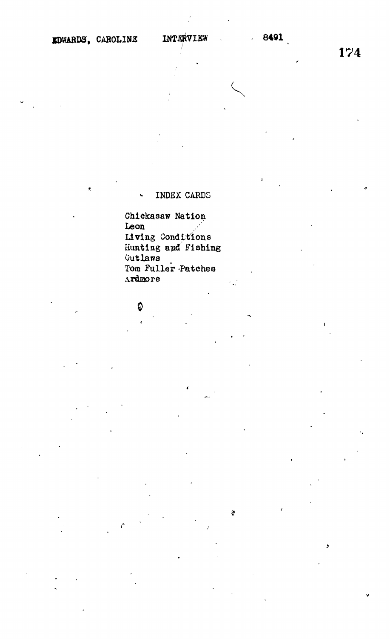174

#### INDEX CARDS  $\ddot{\phantom{0}}$

Chickasaw Nation Leon  $\mathbb{R}^3$ Living Conditions Hunting and Fishing Outlaws Tom Fuller Patches Ardmore

 $\tilde{\mathbf{c}}$ 

# ۵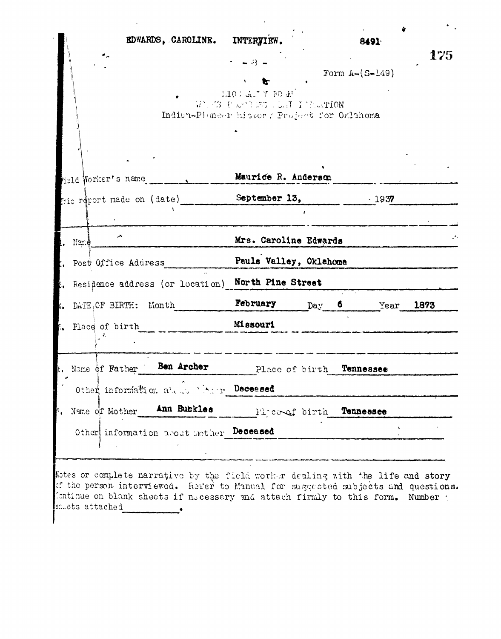|         |                                               |                                            | EDWARDS, CAROLINE.                      | INTERYIEW.                                            |                | 8491                 |      |
|---------|-----------------------------------------------|--------------------------------------------|-----------------------------------------|-------------------------------------------------------|----------------|----------------------|------|
|         |                                               |                                            |                                         | $-3 -$<br>1.10: A.7 Y PO W<br>WEBSTREET LET INTERN    |                | Form $A - (S - 149)$ | 175  |
|         |                                               |                                            |                                         | Indian-Pieneer hissory Project for Orlahoma           |                |                      |      |
|         |                                               | Maurice R. Anderson<br>pield Worker's name |                                         |                                                       |                |                      |      |
|         |                                               |                                            | this report made on (date)              | September 13.                                         |                | $-1937$              |      |
|         |                                               |                                            |                                         | $\mathbf{I}$                                          |                |                      |      |
|         | $Mam$ e                                       |                                            |                                         | Mrs. Caroline Edwards                                 |                |                      |      |
|         | Pauls Valley, Oklahoma<br>Post Office Address |                                            |                                         |                                                       |                |                      |      |
|         |                                               |                                            |                                         | Residence address (or location) North Pine Street     |                |                      |      |
|         |                                               | DATE OF BIRTH: Month                       |                                         | February                                              | $\mathbf{Day}$ | $\bullet$<br>Year    | 1873 |
|         |                                               | Place of birth                             |                                         | Missouri                                              |                |                      |      |
|         |                                               |                                            |                                         |                                                       |                |                      |      |
|         |                                               |                                            |                                         | t. Name of Father Ben Archer Place of birth Tennesses |                |                      |      |
|         |                                               |                                            | Other information about their Deceased  |                                                       |                |                      |      |
| ${^b}.$ |                                               | Name of Mother                             | Ann Bubkles                             | Hiccrof birth                                         |                | Tennessee            |      |
|         |                                               |                                            | Other information about mother Deceased |                                                       |                |                      |      |
|         |                                               |                                            |                                         |                                                       |                |                      |      |

Notes or complete narrative by the field worker dealing with the life and story of the person interviewed. Refer to Manual for suggested subjects and questions. Continue on blank sheets if necessary and attach firmly to this form. Number snets attached  $\mathcal{L} = \mathcal{L}$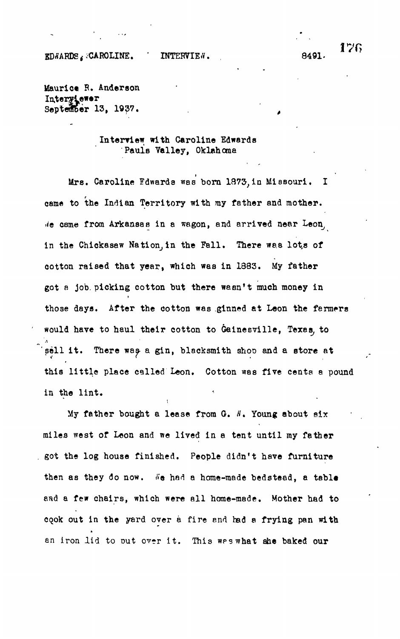EDWARDS. CAROLINE. INTERVIEW. 8491.

Maurice R. Anderson Interyiewer<br>September 13, 1937.

## Interview with Caroline Edwards Pauls Valley, Oklahoma

Mrs. Caroline Edwards was born 1873,in Missouri. I came to the Indian Territory with my father and mother. de came from Arkansas in a wagon, and arrived near Leon, in the Chickasaw Nation, in the Fall. There was lots of cotton raised that year, which was in 1383. My father got a job. picking cotton but there wasn't much money in those days. After the cotton was ginned at Leon the farmers would have to haul their cotton to Gainesville, Texas, to *A* sell it. There was a gin, blacksmith shoo and a store at this little place called Leon. Cotton was five cents a pound in the lint.

My father bought a lease from G.  $\delta$ . Young about six miles west of Leon and we lived in a tent until my father got the log house finished. People didn't have furniture then as they do now. We had a home-made bedstead, a table and a few chairs, which were all home-made. Mother had to cook out in the yard over a fire and had a frying pan with an iron lid to but over it. This weswhat she baked our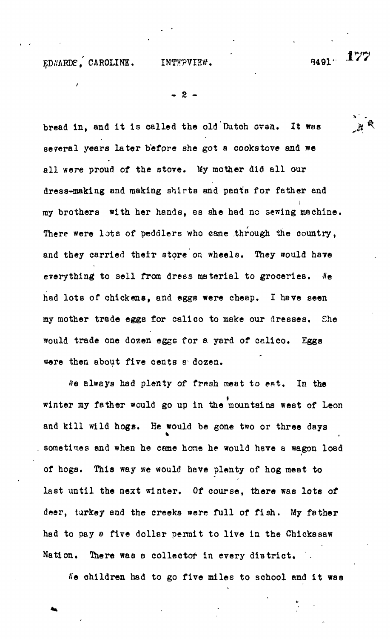# ED."ARDE, CAROLINE. INTEPVIEW. 3491'

 $2 -$ 

bread in, and it is called the old Dutch cvan. It was several years later before she got a cookstove and we all were proud of the stove. My mother did all our dress-making and making shirts and pants for father and my brothers with her hands, as she had no sewing machine. There were lots of peddlers who came through the country, and they carried their store on wheels. They would have everything to sell from dress material to groceries. He had lots of chickens, and eggs were cheap. I have seen my mother trade eggs for calico to make our dresses. She would trade one dozen eggs for a yard of celico. Eggs ware then about five cents e dozen.

«Ve always had plenty of fresh meat to ent. In the winter my father would go up in the mountains west of Leon and kill wild hogs. He would be gone two or three days sometimes and when he came home he would have a wagon load of hogs. This way we would have plenty of hog meat to last until the next winter. Of course, there was lots of deer, turkey and the creeks were full of fish. My father had to pay 8 five dollar permit to live in the Chickasaw Nation. There was a collector in every district.

We children had to go five miles to school and it was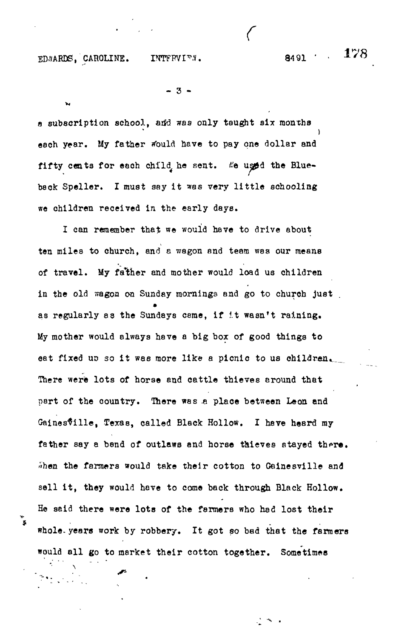ED."ARDS, CAROLINE. INTFRVI<sup>®</sup>.". 8491 '

**"a\***

**- 3 -**

a subscription school, and was only taught six months each year. My father would have to pay one dollar and fifty cents for each child he sent. Me used the Blueback Speller. I must say it was very little schooling we children received in the early days.

I can remember that we would have to drive about ten miles to church, and *a* wagon and team was our means of travel. My father and mother would load us children in the old wagon on Sunday mornings and go to church just as regularly as the Sundays came, if it wasn't raining. My mother would always have a big box of good things to eat fixed up so it was more like a picnic to us children. There were lots of horse and cattle thieves eround that part of the country. There was a place between Leon and Gainesville, Texas, called Black Hollow. I have heard my father say a bend of outlaws and horse thieves stayed there.  $\delta$ hen the farmers would take their cotton to Gainesville and sell it, they would have to come back through Black Hollow. He said there were lots of the farmers who had lost their **whole- years work by robbery. It got so bad that the farmers would ell go to market their cotton together. Sometimes**

.'•\*\* > •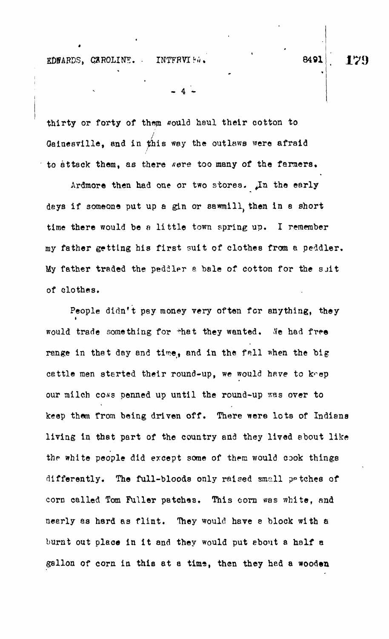### EDFARDS, CAROLINE. INTFRVIST. 8491

 $-4 -$ 

thirty or forty of them would haul their cotton to Gainesville, and in this way the outlaws were afraid to attack them, as there *xere* too many of the farmers,

Ardmore then had one or two stores. In the early days if someone put up a gin or sawmill, then in a short time there would be a little town spring up. I remember my father getting his first suit of clothes from a peddler. My father traded the peddler a bale of cotton for the suit of clothes.

People didn't pay money very often for anything, they would trade something for that they wanted. We had free range in that day and time, and in the fall when the big cattle men started their round-up, we would have to keep our milch coss penned up until the round-up was over to keep them from being driven off. There were lots of Indians living in that part of the country and they lived about like the white people did except some of them would cook things differently. The full-bloods only raised small patches of corn called Tom Fuller patches. This corn was white, and neerly as hard as flint. They would have a block with a burnt out place in it and they would put about a half a gallon of corn in this at a time, then they had a wooden

179